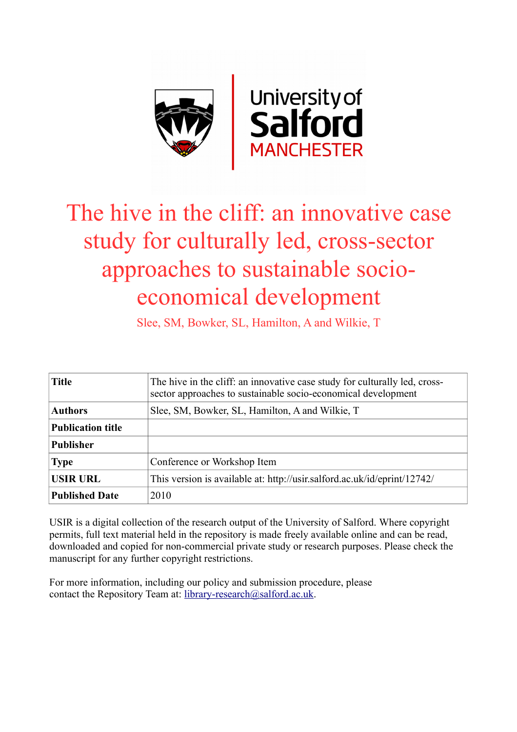

# The hive in the cliff: an innovative case study for culturally led, cross-sector approaches to sustainable socioeconomical development

Slee, SM, Bowker, SL, Hamilton, A and Wilkie, T

| <b>Title</b>             | The hive in the cliff: an innovative case study for culturally led, cross-<br>sector approaches to sustainable socio-economical development |
|--------------------------|---------------------------------------------------------------------------------------------------------------------------------------------|
| <b>Authors</b>           | Slee, SM, Bowker, SL, Hamilton, A and Wilkie, T                                                                                             |
| <b>Publication title</b> |                                                                                                                                             |
| <b>Publisher</b>         |                                                                                                                                             |
| <b>Type</b>              | Conference or Workshop Item                                                                                                                 |
| <b>USIR URL</b>          | This version is available at: http://usir.salford.ac.uk/id/eprint/12742/                                                                    |
| <b>Published Date</b>    | 2010                                                                                                                                        |

USIR is a digital collection of the research output of the University of Salford. Where copyright permits, full text material held in the repository is made freely available online and can be read, downloaded and copied for non-commercial private study or research purposes. Please check the manuscript for any further copyright restrictions.

For more information, including our policy and submission procedure, please contact the Repository Team at: [library-research@salford.ac.uk.](mailto:library-research@salford.ac.uk)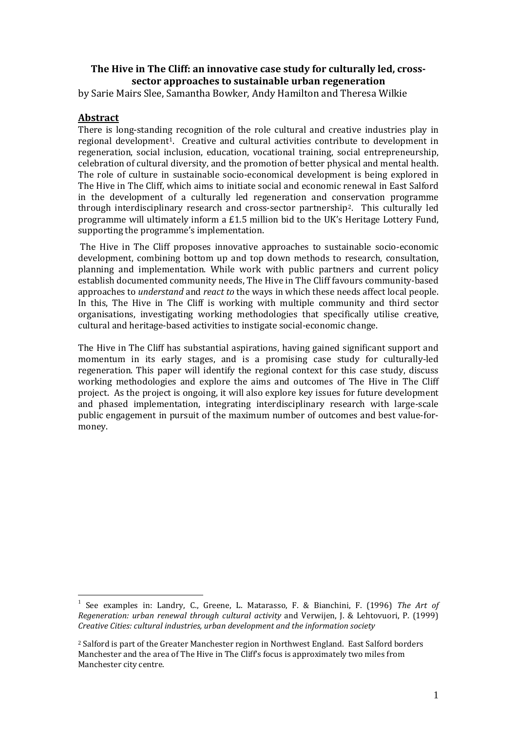# **The Hive in The Cliff: an innovative case study for culturally led, crosssector approaches to sustainable urban regeneration**

by Sarie Mairs Slee, Samantha Bowker, Andy Hamilton and Theresa Wilkie

# **Abstract**

There is long-standin[g](#page-1-0) recognition of the role cultural and creative industries play in regional development 1. Creative and cultural activities contribute to development in regeneration, social inclusion, education, vocational training, social entrepreneurship, celebration of cultural diversity, and the promotion of better physical and mental health. The role of culture in sustainable socio-economical development is being explored in The Hive in The Cliff, which aims to initiate social and economic renewal in East Salford in the development of a culturally led regeneration and conservation programme through interdisciplinary research and cross-sector partnership[2](#page-1-1) . This culturally led programme will ultimately inform a £1.5 million bid to the UK's Heritage Lottery Fund, supporting the programme's implementation.

The Hive in The Cliff proposes innovative approaches to sustainable socio-economic development, combining bottom up and top down methods to research, consultation, planning and implementation. While work with public partners and current policy establish documented community needs, The Hive in The Cliff favours community-based approaches to *understand* and *react to* the ways in which these needs affect local people. In this, The Hive in The Cliff is working with multiple community and third sector organisations, investigating working methodologies that specifically utilise creative, cultural and heritage-based activities to instigate social-economic change.

The Hive in The Cliff has substantial aspirations, having gained significant support and momentum in its early stages, and is a promising case study for culturally-led regeneration. This paper will identify the regional context for this case study, discuss working methodologies and explore the aims and outcomes of The Hive in The Cliff project. As the project is ongoing, it will also explore key issues for future development and phased implementation, integrating interdisciplinary research with large-scale public engagement in pursuit of the maximum number of outcomes and best value-formoney.

<span id="page-1-0"></span> <sup>1</sup> See examples in: Landry, C., Greene, L. Matarasso, F. & Bianchini, F. (1996) *The Art of Regeneration: urban renewal through cultural activity* and Verwijen, J. & Lehtovuori, P. (1999) *Creative Cities: cultural industries, urban development and the information society*

<span id="page-1-1"></span><sup>2</sup> Salford is part of the Greater Manchester region in Northwest England. East Salford borders Manchester and the area of The Hive in The Cliff's focus is approximately two miles from Manchester city centre.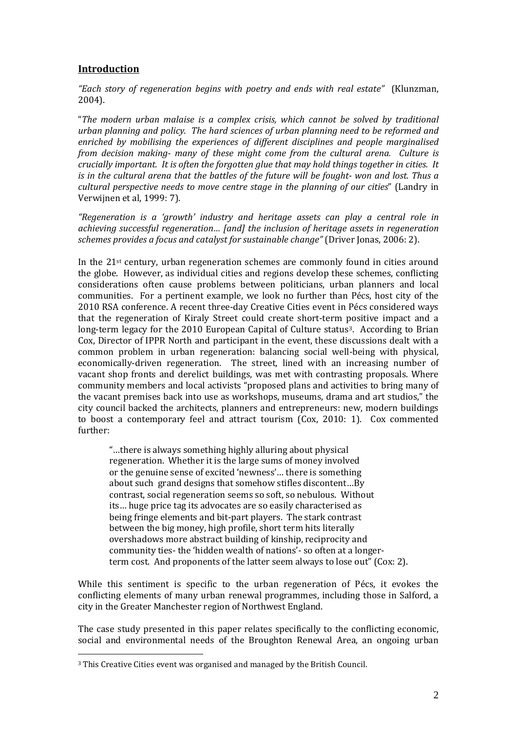# **Introduction**

*"Each story of regeneration begins with poetry and ends with real estate"* (Klunzman, 2004).

"*The modern urban malaise is a complex crisis, which cannot be solved by traditional urban planning and policy. The hard sciences of urban planning need to be reformed and enriched by mobilising the experiences of different disciplines and people marginalised from decision making- many of these might come from the cultural arena. Culture is crucially important. It is often the forgotten glue that may hold things together in cities. It is in the cultural arena that the battles of the future will be fought- won and lost. Thus a cultural perspective needs to move centre stage in the planning of our cities*" (Landry in Verwijnen et al, 1999: 7).

*"Regeneration is a 'growth' industry and heritage assets can play a central role in achieving successful regeneration… [and] the inclusion of heritage assets in regeneration schemes provides a focus and catalyst for sustainable change"* (Driver Jonas, 2006: 2).

In the 21st century, urban regeneration schemes are commonly found in cities around the globe. However, as individual cities and regions develop these schemes, conflicting considerations often cause problems between politicians, urban planners and local communities. For a pertinent example, we look no further than Pécs, host city of the 2010 RSA conference. A recent three-day Creative Cities event in Pécs considered ways that the regeneration of Kiraly Street could create short-term positive impact and a long-term legacy for the 2010 European Capital of Culture status<sup>[3](#page-2-0)</sup>. According to Brian Cox, Director of IPPR North and participant in the event, these discussions dealt with a common problem in urban regeneration: balancing social well-being with physical, economically-driven regeneration. The street, lined with an increasing number of vacant shop fronts and derelict buildings, was met with contrasting proposals. Where community members and local activists "proposed plans and activities to bring many of the vacant premises back into use as workshops, museums, drama and art studios," the city council backed the architects, planners and entrepreneurs: new, modern buildings to boost a contemporary feel and attract tourism (Cox, 2010: 1). Cox commented further:

"…there is always something highly alluring about physical regeneration. Whether it is the large sums of money involved or the genuine sense of excited 'newness'… there is something about such grand designs that somehow stifles discontent…By contrast, social regeneration seems so soft, so nebulous. Without its… huge price tag its advocates are so easily characterised as being fringe elements and bit-part players. The stark contrast between the big money, high profile, short term hits literally overshadows more abstract building of kinship, reciprocity and community ties- the 'hidden wealth of nations'- so often at a longerterm cost. And proponents of the latter seem always to lose out" (Cox: 2).

While this sentiment is specific to the urban regeneration of Pécs, it evokes the conflicting elements of many urban renewal programmes, including those in Salford, a city in the Greater Manchester region of Northwest England.

The case study presented in this paper relates specifically to the conflicting economic, social and environmental needs of the Broughton Renewal Area, an ongoing urban

-

<span id="page-2-0"></span><sup>3</sup> This Creative Cities event was organised and managed by the British Council.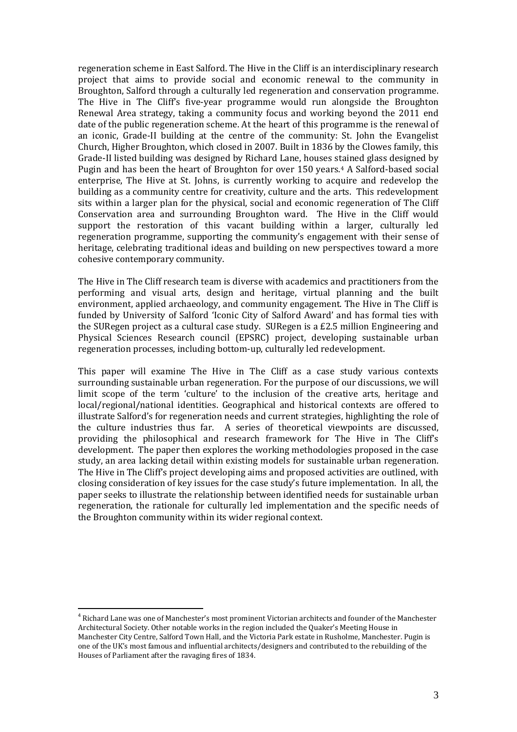regeneration scheme in East Salford. The Hive in the Cliff is an interdisciplinary research project that aims to provide social and economic renewal to the community in Broughton, Salford through a culturally led regeneration and conservation programme. The Hive in The Cliff's five-year programme would run alongside the Broughton Renewal Area strategy, taking a community focus and working beyond the 2011 end date of the public regeneration scheme. At the heart of this programme is the renewal of an iconic, Grade-II building at the centre of the community: St. John the Evangelist Church, Higher Broughton, which closed in 2007. Built in 1836 by the Clowes family, this Grade-II listed building was designed by Richard Lane, houses stained glass designed by Pugin and has been the heart of Broughton for over 150 years.<sup>[4](#page-3-0)</sup> A Salford-based social enterprise, The Hive at St. Johns, is currently working to acquire and redevelop the building as a community centre for creativity, culture and the arts. This redevelopment sits within a larger plan for the physical, social and economic regeneration of The Cliff Conservation area and surrounding Broughton ward. The Hive in the Cliff would support the restoration of this vacant building within a larger, culturally led regeneration programme, supporting the community's engagement with their sense of heritage, celebrating traditional ideas and building on new perspectives toward a more cohesive contemporary community.

The Hive in The Cliff research team is diverse with academics and practitioners from the performing and visual arts, design and heritage, virtual planning and the built environment, applied archaeology, and community engagement. The Hive in The Cliff is funded by University of Salford 'Iconic City of Salford Award' and has formal ties with the SURegen project as a cultural case study. SURegen is a £2.5 million Engineering and Physical Sciences Research council (EPSRC) project, developing sustainable urban regeneration processes, including bottom-up, culturally led redevelopment.

This paper will examine The Hive in The Cliff as a case study various contexts surrounding sustainable urban regeneration. For the purpose of our discussions, we will limit scope of the term 'culture' to the inclusion of the creative arts, heritage and local/regional/national identities. Geographical and historical contexts are offered to illustrate Salford's for regeneration needs and current strategies, highlighting the role of the culture industries thus far. A series of theoretical viewpoints are discussed, providing the philosophical and research framework for The Hive in The Cliff's development. The paper then explores the working methodologies proposed in the case study, an area lacking detail within existing models for sustainable urban regeneration. The Hive in The Cliff's project developing aims and proposed activities are outlined, with closing consideration of key issues for the case study's future implementation. In all, the paper seeks to illustrate the relationship between identified needs for sustainable urban regeneration, the rationale for culturally led implementation and the specific needs of the Broughton community within its wider regional context.

<span id="page-3-0"></span><sup>&</sup>lt;sup>4</sup> Richard Lane was one of Manchester's most prominent Victorian architects and founder of the Manchester Architectural Society. Other notable works in the region included the Quaker's Meeting House in Manchester City Centre, Salford Town Hall, and the Victoria Park estate in Rusholme, Manchester. Pugin is one of the UK's most famous and influential architects/designers and contributed to the rebuilding of the Houses of Parliament after the ravaging fires of 1834.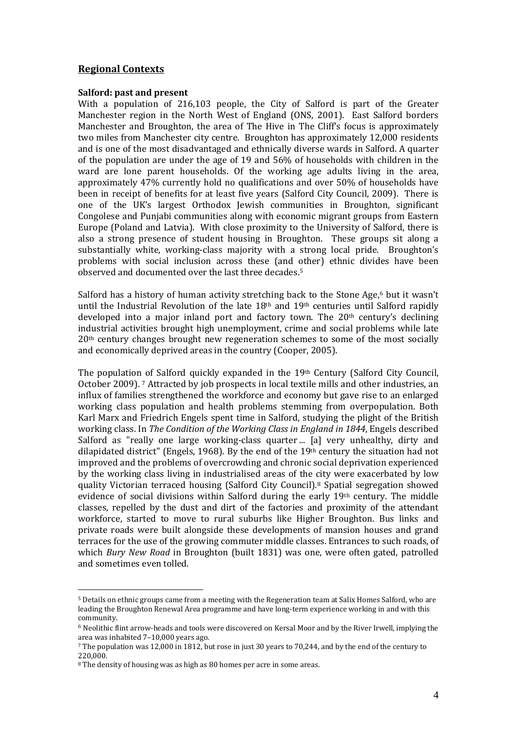## **Regional Contexts**

#### **Salford: past and present**

With a population of 216,103 people, the City of Salford is part of the Greater Manchester region in the North West of England (ONS, 2001). East Salford borders Manchester and Broughton, the area of The Hive in The Cliff's focus is approximately two miles from Manchester city centre. Broughton has approximately 12,000 residents and is one of the most disadvantaged and ethnically diverse wards in Salford. A quarter of the population are under the age of 19 and 56% of households with children in the ward are lone parent households. Of the working age adults living in the area, approximately 47% currently hold no qualifications and over 50% of households have been in receipt of benefits for at least five years (Salford City Council, 2009). There is one of the UK's largest Orthodox Jewish communities in Broughton, significant Congolese and Punjabi communities along with economic migrant groups from Eastern Europe (Poland and Latvia). With close proximity to the University of Salford, there is also a strong presence of student housing in Broughton. These groups sit along a substantially white, working-class majority with a strong local pride. Broughton's problems with social inclusion across these (and [ot](#page-4-0)her) ethnic divides have been observed and documented over the last three decades.5

Salford has a history of human activity stretching back to the Stone Age,<sup>[6](#page-4-1)</sup> but it wasn't until the Industrial Revolution of the late  $18<sup>th</sup>$  and  $19<sup>th</sup>$  centuries until Salford rapidly developed into a major inland port and factory town. The  $20<sup>th</sup>$  century's declining industrial activities brought high unemployment, crime and social problems while late 20th century changes brought new regeneration schemes to some of the most socially and economically deprived areas in the country (Cooper, 2005).

The populationof Salford quickly expanded in the 19th Century (Salford City Council, October 2009). <sup>7</sup> Attracted by job prospects in local textile mills and other industries, an influx of families strengthened the workforce and economy but gave rise to an enlarged working class population and health problems stemming from overpopulation. Both Karl Marx and Friedrich Engels spent time in Salford, studying the plight of the British working class. In *The Condition of the Working Class in England in 1844*, Engels described Salford as "really one large working-class quarter ... [a] very unhealthy, dirty and dilapidated district" (Engels, 1968). By the end of the  $19<sup>th</sup>$  century the situation had not improved and the problems of overcrowding and chronic social deprivation experienced by the working class living in industrialised areas of the [ci](#page-4-3)ty were exacerbated by low quality Victorian terraced housing (Salford City Council).8 Spatial segregation showed evidence of social divisions within Salford during the early 19th century. The middle classes, repelled by the dust and dirt of the factories and proximity of the attendant workforce, started to move to rural suburbs like Higher Broughton. Bus links and private roads were built alongside these developments of mansion houses and grand terraces for the use of the growing commuter middle classes. Entrances to such roads, of which *Bury New Road* in Broughton (built 1831) was one, were often gated, patrolled and sometimes even tolled.

-

<span id="page-4-0"></span><sup>5</sup> Details on ethnic groups came from a meeting with the Regeneration team at Salix Homes Salford, who are leading the Broughton Renewal Area programme and have long-term experience working in and with this community.

<span id="page-4-1"></span><sup>6</sup> Neolithic flint arrow-heads and tools were discovered on Kersal Moor and by the River Irwell, implying the area was inhabited 7–10,000 years ago.

<span id="page-4-2"></span><sup>7</sup> The population was 12,000 in 1812, but rose in just 30 years to 70,244, and by the end of the century to 220,000.

<span id="page-4-3"></span><sup>8</sup> The density of housing was as high as 80 homes per acre in some areas.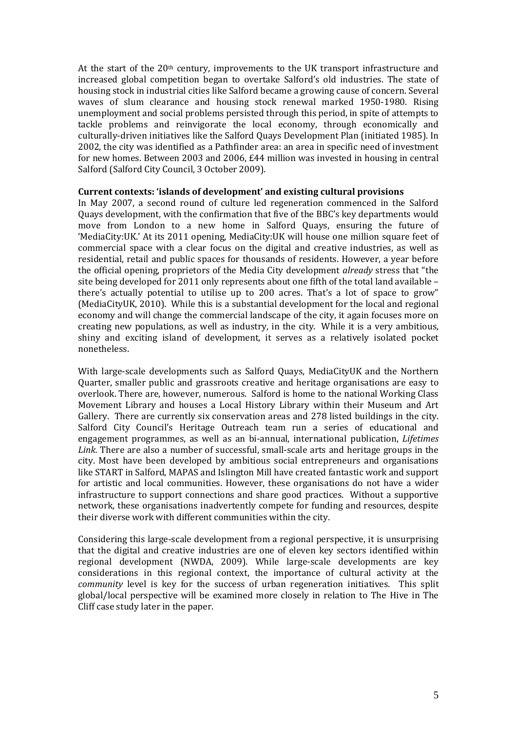At the start of the  $20<sup>th</sup>$  century, improvements to the UK transport infrastructure and increased global competition began to overtake Salford's old industries. The state of housing stock in industrial cities like Salford became a growing cause of concern. Several waves of slum clearance and housing stock renewal marked 1950-1980. Rising unemployment and social problems persisted through this period, in spite of attempts to tackle problems and reinvigorate the local economy, through economically and culturally-driven initiatives like the Salford Quays Development Plan (initiated 1985). In 2002, the city was identified as a Pathfinder area: an area in specific need of investment for new homes. Between 2003 and 2006, £44 million was invested in housing in central Salford (Salford City Council, 3 October 2009).

#### **Current contexts: 'islands of development' and existing cultural provisions**

In May 2007, a second round of culture led regeneration commenced in the Salford Quays development, with the confirmation that five of the BBC's key departments would move from London to a new home in Salford Quays, ensuring the future of 'MediaCity:UK.' At its 2011 opening, MediaCity:UK will house one million square feet of commercial space with a clear focus on the digital and creative industries, as well as residential, retail and public spaces for thousands of residents. However, a year before the official opening, proprietors of the Media City development *already* stress that "the site being developed for 2011 only represents about one fifth of the total land available – there's actually potential to utilise up to 200 acres. That's a lot of space to grow" (MediaCityUK, 2010). While this is a substantial development for the local and regional economy and will change the commercial landscape of the city, it again focuses more on creating new populations, as well as industry, in the city. While it is a very ambitious, shiny and exciting island of development, it serves as a relatively isolated pocket nonetheless.

With large-scale developments such as Salford Quays, MediaCityUK and the Northern Quarter, smaller public and grassroots creative and heritage organisations are easy to overlook. There are, however, numerous. Salford is home to the national Working Class Movement Library and houses a Local History Library within their Museum and Art Gallery. There are currently six conservation areas and 278 listed buildings in the city. Salford City Council's Heritage Outreach team run a series of educational and engagement programmes, as well as an bi-annual, international publication, *Lifetimes Link.* There are also a number of successful, small-scale arts and heritage groups in the city. Most have been developed by ambitious social entrepreneurs and organisations like START in Salford, MAPAS and Islington Mill have created fantastic work and support for artistic and local communities. However, these organisations do not have a wider infrastructure to support connections and share good practices. Without a supportive network, these organisations inadvertently compete for funding and resources, despite their diverse work with different communities within the city.

Considering this large-scale development from a regional perspective, it is unsurprising that the digital and creative industries are one of eleven key sectors identified within regional development (NWDA, 2009). While large-scale developments are key considerations in this regional context, the importance of cultural activity at the *community* level is key for the success of urban regeneration initiatives. This split global/local perspective will be examined more closely in relation to The Hive in The Cliff case study later in the paper.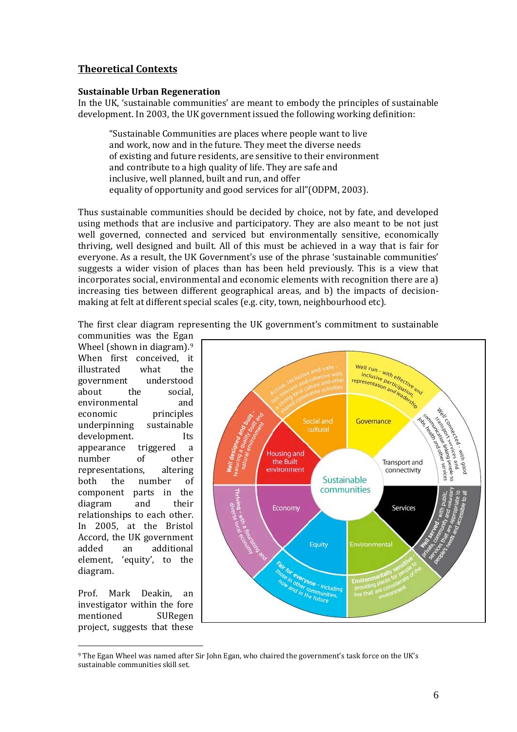# **Theoretical Contexts**

## **Sustainable Urban Regeneration**

In the UK, 'sustainable communities' are meant to embody the principles of sustainable development. In 2003, the UK government issued the following working definition:

"Sustainable Communities are places where people want to live and work, now and in the future. They meet the diverse needs of existing and future residents, are sensitive to their environment and contribute to a high quality of life. They are safe and inclusive, well planned, built and run, and offer equality of opportunity and good services for all"(ODPM, 2003).

Thus sustainable communities should be decided by choice, not by fate, and developed using methods that are inclusive and participatory. They are also meant to be not just well governed, connected and serviced but environmentally sensitive, economically thriving, well designed and built. All of this must be achieved in a way that is fair for everyone. As a result, the UK Government's use of the phrase 'sustainable communities' suggests a wider vision of places than has been held previously. This is a view that incorporates social, environmental and economic elements with recognition there are a) increasing ties between different geographical areas, and b) the impacts of decisionmaking at felt at different special scales (e.g. city, town, neighbourhood etc).

The first clear diagram representing the UK government's commitment to sustainable

communities was the Ega[n](#page-6-0)  Wheel (shown in diagram).<sup>9</sup> When first conceived, it<br>illustrated what the illustrated what the<br>government understood government<br>about the social,<br>and environmental<br>economic principles<br>sustainable underpinning sustainable<br>development. Its development. Its<br>appearance triggered a appearance triggered a<br>number of other number of other<br>representations, altering representations, altering<br>
hoth the number of both the number of component parts in the diagram and their relationships to each other. In 2005, at the Bristol Accord, the UK government<br>added an additional additional element, 'equity', to the diagram.

Prof. Mark Deakin, an investigator within the fore<br>mentioned SURegen mentioned project, suggests that these



<span id="page-6-0"></span>-<sup>9</sup> The Egan Wheel was named after Sir John Egan, who chaired the government's task force on the UK's sustainable communities skill set.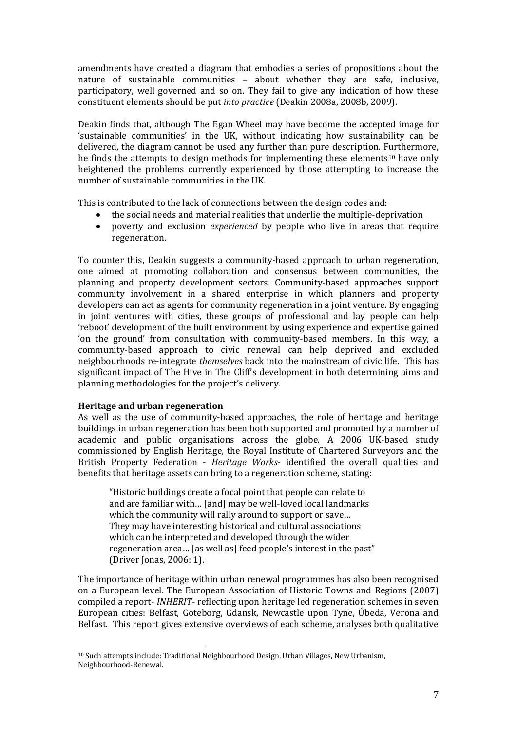amendments have created a diagram that embodies a series of propositions about the nature of sustainable communities – about whether they are safe, inclusive, participatory, well governed and so on. They fail to give any indication of how these constituent elements should be put *into practice* (Deakin 2008a, 2008b, 2009).

Deakin finds that, although The Egan Wheel may have become the accepted image for 'sustainable communities' in the UK, without indicating how sustainability can be delivered, the diagram cannot be used any further than pure description. Furthermore, he finds the attempts to design methods for implementing these elements<sup>10</sup> have only heightened the problems currently experienced by those attempting to increase the number of sustainable communities in the UK.

This is contributed to the lack of connections between the design codes and:

- the social needs and material realities that underlie the multiple-deprivation<br>• noverty and exclusion *experienced* by people who live in areas that requ
- poverty and exclusion *experienced* by people who live in areas that require regeneration.

To counter this, Deakin suggests a community-based approach to urban regeneration, one aimed at promoting collaboration and consensus between communities, the planning and property development sectors. Community-based approaches support community involvement in a shared enterprise in which planners and property developers can act as agents for community regeneration in a joint venture. By engaging in joint ventures with cities, these groups of professional and lay people can help 'reboot' development of the built environment by using experience and expertise gained 'on the ground' from consultation with community-based members. In this way, a community-based approach to civic renewal can help deprived and excluded neighbourhoods re-integrate *themselves* back into the mainstream of civic life. This has significant impact of The Hive in The Cliff's development in both determining aims and planning methodologies for the project's delivery.

## **Heritage and urban regeneration**

As well as the use of community-based approaches, the role of heritage and heritage buildings in urban regeneration has been both supported and promoted by a number of academic and public organisations across the globe. A 2006 UK-based study commissioned by English Heritage, the Royal Institute of Chartered Surveyors and the British Property Federation - *Heritage Works-* identified the overall qualities and benefits that heritage assets can bring to a regeneration scheme, stating:

"Historic buildings create a focal point that people can relate to and are familiar with… [and] may be well-loved local landmarks which the community will rally around to support or save... They may have interesting historical and cultural associations which can be interpreted and developed through the wider regeneration area… [as well as] feed people's interest in the past" (Driver Jonas, 2006: 1).

The importance of heritage within urban renewal programmes has also been recognised on a European level. The European Association of Historic Towns and Regions (2007) compiled a report- *INHERIT*- reflecting upon heritage led regeneration schemes in seven European cities: Belfast, Göteborg, Gdansk, Newcastle upon Tyne, Úbeda, Verona and Belfast. This report gives extensive overviews of each scheme, analyses both qualitative

<span id="page-7-0"></span><sup>-</sup><sup>10</sup> Such attempts include: Traditional Neighbourhood Design, Urban Villages, New Urbanism, Neighbourhood-Renewal.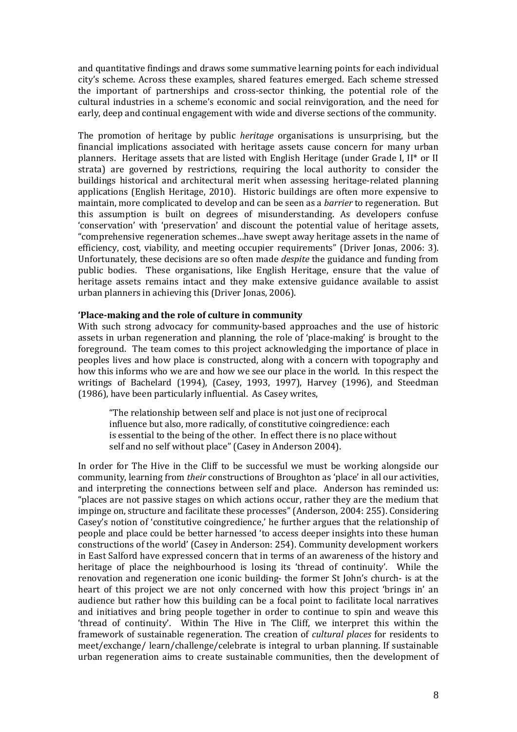and quantitative findings and draws some summative learning points for each individual city's scheme. Across these examples, shared features emerged. Each scheme stressed the important of partnerships and cross-sector thinking, the potential role of the cultural industries in a scheme's economic and social reinvigoration, and the need for early, deep and continual engagement with wide and diverse sections of the community.

The promotion of heritage by public *heritage* organisations is unsurprising, but the financial implications associated with heritage assets cause concern for many urban planners. Heritage assets that are listed with English Heritage (under Grade I, II\* or II strata) are governed by restrictions, requiring the local authority to consider the buildings historical and architectural merit when assessing heritage-related planning applications (English Heritage, 2010). Historic buildings are often more expensive to maintain, more complicated to develop and can be seen as a *barrier* to regeneration. But this assumption is built on degrees of misunderstanding. As developers confuse 'conservation' with 'preservation' and discount the potential value of heritage assets, "comprehensive regeneration schemes…have swept away heritage assets in the name of efficiency, cost, viability, and meeting occupier requirements" (Driver Jonas, 2006: 3). Unfortunately, these decisions are so often made *despite* the guidance and funding from public bodies. These organisations, like English Heritage, ensure that the value of heritage assets remains intact and they make extensive guidance available to assist urban planners in achieving this (Driver Jonas, 2006).

#### **'Place-making and the role of culture in community**

With such strong advocacy for community-based approaches and the use of historic assets in urban regeneration and planning, the role of 'place-making' is brought to the foreground.The team comes to this project acknowledging the importance of place in peoples lives and how place is constructed, along with a concern with topography and how this informs who we are and how we see our place in the world. In this respect the writings of Bachelard (1994), (Casey, 1993, 1997), Harvey (1996), and Steedman (1986), have been particularly influential. As Casey writes,

"The relationship between self and place is not just one of reciprocal influence but also, more radically, of constitutive coingredience: each is essential to the being of the other. In effect there is no place without self and no self without place" (Casey in Anderson 2004).

In order for The Hive in the Cliff to be successful we must be working alongside our community, learning from *their* constructions of Broughton as 'place' in all our activities, and interpreting the connections between self and place. Anderson has reminded us: "places are not passive stages on which actions occur, rather they are the medium that impinge on, structure and facilitate these processes" (Anderson, 2004: 255). Considering Casey's notion of 'constitutive coingredience,' he further argues that the relationship of people and place could be better harnessed 'to access deeper insights into these human constructions of the world' (Casey in Anderson: 254). Community development workers in East Salford have expressed concern that in terms of an awareness of the history and heritage of place the neighbourhood is losing its 'thread of continuity'. While the renovation and regeneration one iconic building- the former St John's church- is at the heart of this project we are not only concerned with how this project 'brings in' an audience but rather how this building can be a focal point to facilitate local narratives and initiatives and bring people together in order to continue to spin and weave this 'thread of continuity'. Within The Hive in The Cliff, we interpret this within the framework of sustainable regeneration. The creation of *cultural places* for residents to meet/exchange/ learn/challenge/celebrate is integral to urban planning. If sustainable urban regeneration aims to create sustainable communities, then the development of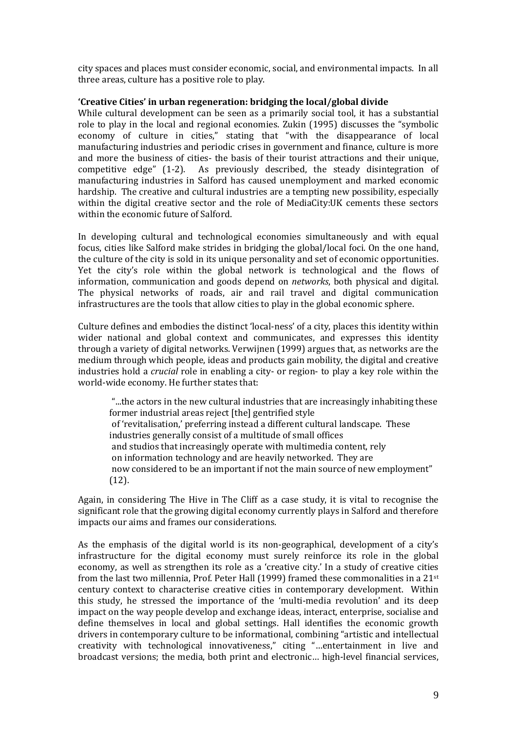city spaces and places must consider economic, social, and environmental impacts. In all three areas, culture has a positive role to play.

## **'Creative Cities' in urban regeneration: bridging the local/global divide**

While cultural development can be seen as a primarily social tool, it has a substantial role to play in the local and regional economies. Zukin (1995) discusses the "symbolic economy of culture in cities," stating that "with the disappearance of local manufacturing industries and periodic crises in government and finance, culture is more and more the business of cities- the basis of their tourist attractions and their unique, competitive edge" (1-2). As previously described, the steady disintegration of As previously described, the steady disintegration of manufacturing industries in Salford has caused unemployment and marked economic hardship. The creative and cultural industries are a tempting new possibility, especially within the digital creative sector and the role of MediaCity:UK cements these sectors within the economic future of Salford.

In developing cultural and technological economies simultaneously and with equal focus, cities like Salford make strides in bridging the global/local foci. On the one hand, the culture of the city is sold in its unique personality and set of economic opportunities. Yet the city's role within the global network is technological and the flows of information, communication and goods depend on *networks*, both physical and digital. The physical networks of roads, air and rail travel and digital communication infrastructures are the tools that allow cities to play in the global economic sphere.

Culture defines and embodies the distinct 'local-ness' of a city, places this identity within wider national and global context and communicates, and expresses this identity through a variety of digital networks. Verwijnen (1999) argues that, as networks are the medium through which people, ideas and products gain mobility, the digital and creative industries hold a *crucial* role in enabling a city- or region- to play a key role within the world-wide economy. He further states that:

"...the actors in the new cultural industries that are increasingly inhabiting these former industrial areas reject [the] gentrified style of 'revitalisation,' preferring instead a different cultural landscape. These industries generally consist of a multitude of small offices and studios that increasingly operate with multimedia content, rely on information technology and are heavily networked. They are now considered to be an important if not the main source of new employment" (12).

Again, in considering The Hive in The Cliff as a case study, it is vital to recognise the significant role that the growing digital economy currently plays in Salford and therefore impacts our aims and frames our considerations.

As the emphasis of the digital world is its non-geographical, development of a city's infrastructure for the digital economy must surely reinforce its role in the global economy, as well as strengthen its role as a 'creative city.' In a study of creative cities from the last two millennia, Prof. Peter Hall (1999) framed these commonalities in a  $21<sup>st</sup>$ century context to characterise creative cities in contemporary development. Within this study, he stressed the importance of the 'multi-media revolution' and its deep impact on the way people develop and exchange ideas, interact, enterprise, socialise and define themselves in local and global settings. Hall identifies the economic growth drivers in contemporary culture to be informational, combining "artistic and intellectual creativity with technological innovativeness," citing "…entertainment in live and broadcast versions; the media, both print and electronic… high-level financial services,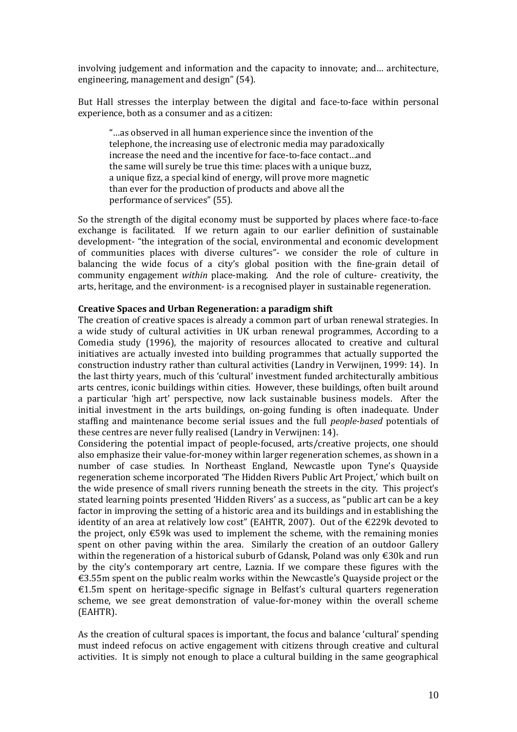involving judgement and information and the capacity to innovate; and… architecture, engineering, management and design" (54).

But Hall stresses the interplay between the digital and face-to-face within personal experience, both as a consumer and as a citizen:

"…as observed in all human experience since the invention of the telephone, the increasing use of electronic media may paradoxically increase the need and the incentive for face-to-face contact…and the same will surely be true this time: places with a unique buzz, a unique fizz, a special kind of energy, will prove more magnetic than ever for the production of products and above all the performance of services" (55).

So the strength of the digital economy must be supported by places where face-to-face exchange is facilitated. If we return again to our earlier definition of sustainable development- "the integration of the social, environmental and economic development of communities places with diverse cultures"- we consider the role of culture in balancing the wide focus of a city's global position with the fine-grain detail of community engagement *within* place-making. And the role of culture- creativity, the arts, heritage, and the environment- is a recognised player in sustainable regeneration.

#### **Creative Spaces and Urban Regeneration: a paradigm shift**

The creation of creative spaces is already a common part of urban renewal strategies. In a wide study of cultural activities in UK urban renewal programmes, According to a Comedia study (1996), the majority of resources allocated to creative and cultural initiatives are actually invested into building programmes that actually supported the construction industry rather than cultural activities (Landry in Verwijnen, 1999: 14). In the last thirty years, much of this 'cultural' investment funded architecturally ambitious arts centres, iconic buildings within cities. However, these buildings, often built around a particular 'high art' perspective, now lack sustainable business models. After the initial investment in the arts buildings, on-going funding is often inadequate. Under staffing and maintenance become serial issues and the full *people-based* potentials of these centres are never fully realised (Landry in Verwijnen: 14).

Considering the potential impact of people-focused, arts/creative projects, one should also emphasize their value-for-money within larger regeneration schemes, as shown in a number of case studies. In Northeast England, Newcastle upon Tyne's Quayside regeneration scheme incorporated 'The Hidden Rivers Public Art Project,' which built on the wide presence of small rivers running beneath the streets in the city. This project's stated learning points presented 'Hidden Rivers' as a success, as "public art can be a key factor in improving the setting of a historic area and its buildings and in establishing the identity of an area at relatively low cost" (EAHTR, 2007). Out of the €229k devoted to the project, only €59k was used to implement the scheme, with the remaining monies spent on other paving within the area. Similarly the creation of an outdoor Gallery within the regeneration of a historical suburb of Gdansk, Poland was only €30k and run by the city's contemporary art centre, Laznia. If we compare these figures with the €3.55m spent on the public realm works within the Newcastle's Quayside project or the €1.5m spent on heritage-specific signage in Belfast's cultural quarters regeneration scheme, we see great demonstration of value-for-money within the overall scheme (EAHTR).

As the creation of cultural spaces is important, the focus and balance 'cultural' spending must indeed refocus on active engagement with citizens through creative and cultural activities. It is simply not enough to place a cultural building in the same geographical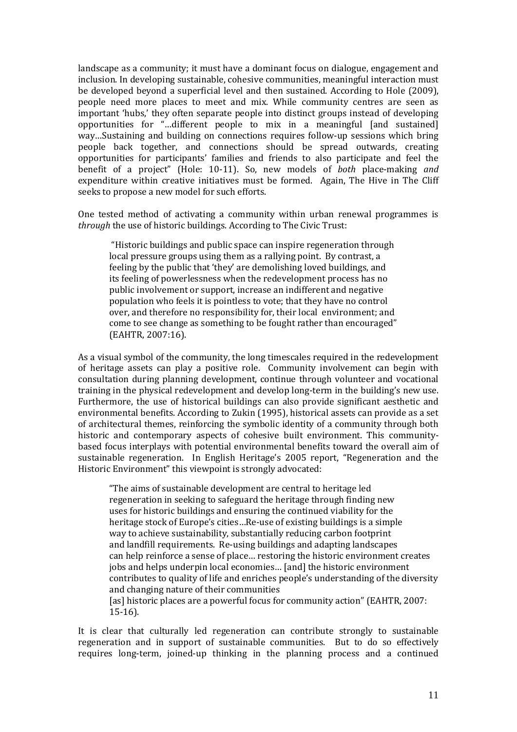landscape as a community; it must have a dominant focus on dialogue, engagement and inclusion. In developing sustainable, cohesive communities, meaningful interaction must be developed beyond a superficial level and then sustained. According to Hole (2009), people need more places to meet and mix. While community centres are seen as important 'hubs,' they often separate people into distinct groups instead of developing opportunities for "…different people to mix in a meaningful [and sustained] way…Sustaining and building on connections requires follow-up sessions which bring people back together, and connections should be spread outwards, creating opportunities for participants' families and friends to also participate and feel the benefit of a project" (Hole: 10-11). So, new models of *both* place-making *and* expenditure within creative initiatives must be formed. Again, The Hive in The Cliff seeks to propose a new model for such efforts.

One tested method of activating a community within urban renewal programmes is *through* the use of historic buildings. According to The Civic Trust:

"Historic buildings and public space can inspire regeneration through local pressure groups using them as a rallying point. By contrast, a feeling by the public that 'they' are demolishing loved buildings, and its feeling of powerlessness when the redevelopment process has no public involvement or support, increase an indifferent and negative population who feels it is pointless to vote; that they have no control over, and therefore no responsibility for, their local environment; and come to see change as something to be fought rather than encouraged" (EAHTR, 2007:16).

As a visual symbol of the community, the long timescales required in the redevelopment of heritage assets can play a positive role. Community involvement can begin with consultation during planning development, continue through volunteer and vocational training in the physical redevelopment and develop long-term in the building's new use. Furthermore, the use of historical buildings can also provide significant aesthetic and environmental benefits. According to Zukin (1995), historical assets can provide as a set of architectural themes, reinforcing the symbolic identity of a community through both historic and contemporary aspects of cohesive built environment. This communitybased focus interplays with potential environmental benefits toward the overall aim of sustainable regeneration. In English Heritage's 2005 report, "Regeneration and the Historic Environment" this viewpoint is strongly advocated:

"The aims of sustainable development are central to heritage led regeneration in seeking to safeguard the heritage through finding new uses for historic buildings and ensuring the continued viability for the heritage stock of Europe's cities…Re-use of existing buildings is a simple way to achieve sustainability, substantially reducing carbon footprint and landfill requirements. Re-using buildings and adapting landscapes can help reinforce a sense of place… restoring the historic environment creates jobs and helps underpin local economies… [and] the historic environment contributes to quality of life and enriches people's understanding of the diversity and changing nature of their communities [as] historic places are a powerful focus for community action" (EAHTR, 2007:

15-16).

It is clear that culturally led regeneration can contribute strongly to sustainable regeneration and in support of sustainable communities. But to do so effectively requires long-term, joined-up thinking in the planning process and a continued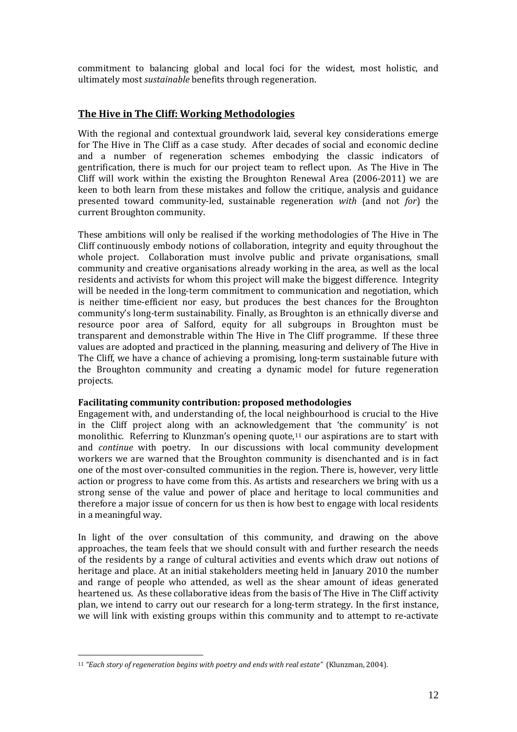commitment to balancing global and local foci for the widest, most holistic, and ultimately most *sustainable* benefits through regeneration.

# **The Hive in The Cliff: Working Methodologies**

With the regional and contextual groundwork laid, several key considerations emerge for The Hive in The Cliff as a case study. After decades of social and economic decline and a number of regeneration schemes embodying the classic indicators of gentrification, there is much for our project team to reflect upon. As The Hive in The Cliff will work within the existing the Broughton Renewal Area (2006-2011) we are keen to both learn from these mistakes and follow the critique, analysis and guidance presented toward community-led, sustainable regeneration *with* (and not *for*) the current Broughton community.

These ambitions will only be realised if the working methodologies of The Hive in The Cliff continuously embody notions of collaboration, integrity and equity throughout the whole project. Collaboration must involve public and private organisations, small community and creative organisations already working in the area, as well as the local residents and activists for whom this project will make the biggest difference. Integrity will be needed in the long-term commitment to communication and negotiation, which is neither time-efficient nor easy, but produces the best chances for the Broughton community's long-term sustainability. Finally, as Broughton is an ethnically diverse and resource poor area of Salford, equity for all subgroups in Broughton must be transparent and demonstrable within The Hive in The Cliff programme. If these three values are adopted and practiced in the planning, measuring and delivery of The Hive in The Cliff, we have a chance of achieving a promising, long-term sustainable future with the Broughton community and creating a dynamic model for future regeneration projects.

## **Facilitating community contribution: proposed methodologies**

Engagement with, and understanding of, the local neighbourhood is crucial to the Hive in the Cliff project along with an acknowledge[men](#page-12-0)t that 'the community' is not monolithic. Referring to Klunzman's opening quote, $11$  our aspirations are to start with and *continue* with poetry. In our discussions with local community development workers we are warned that the Broughton community is disenchanted and is in fact one of the most over-consulted communities in the region. There is, however, very little action or progress to have come from this. As artists and researchers we bring with us a strong sense of the value and power of place and heritage to local communities and therefore a major issue of concern for us then is how best to engage with local residents in a meaningful way.

In light of the over consultation of this community, and drawing on the above approaches, the team feels that we should consult with and further research the needs of the residents by a range of cultural activities and events which draw out notions of heritage and place. At an initial stakeholders meeting held in January 2010 the number and range of people who attended, as well as the shear amount of ideas generated heartened us. As these collaborative ideas from the basis of The Hive in The Cliff activity plan, we intend to carry out our research for a long-term strategy. In the first instance, we will link with existing groups within this community and to attempt to re-activate

<span id="page-12-0"></span><sup>-</sup><sup>11</sup> *"Each story of regeneration begins with poetry and ends with real estate"* (Klunzman, 2004).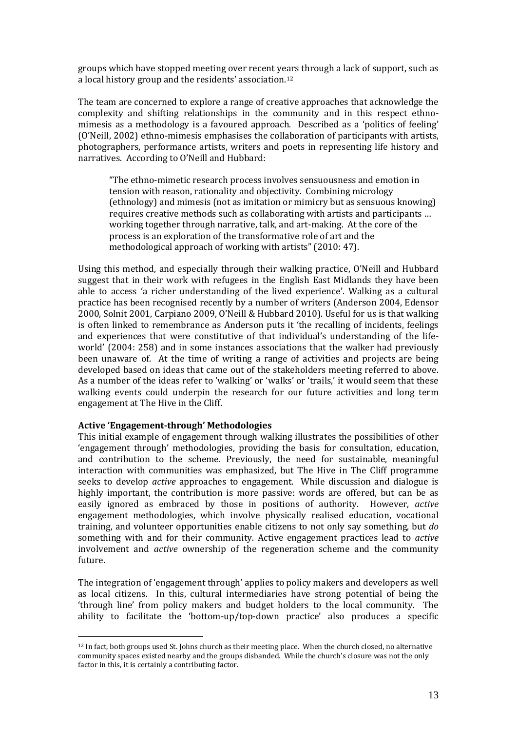groups which have stopped meeting over recent years through a lack of support, such as a local history group and the residents' association.[12](#page-13-0)

The team are concerned to explore a range of creative approaches that acknowledge the complexity and shifting relationships in the community and in this respect ethnomimesis as a methodology is a favoured approach. Described as a 'politics of feeling' (O'Neill, 2002) ethno-mimesis emphasises the collaboration of participants with artists, photographers, performance artists, writers and poets in representing life history and narratives. According to O'Neill and Hubbard:

"The ethno-mimetic research process involves sensuousness and emotion in tension with reason, rationality and objectivity. Combining micrology (ethnology) and mimesis (not as imitation or mimicry but as sensuous knowing) requires creative methods such as collaborating with artists and participants … working together through narrative, talk, and art-making. At the core of the process is an exploration of the transformative role of art and the methodological approach of working with artists" (2010: 47).

Using this method, and especially through their walking practice, O'Neill and Hubbard suggest that in their work with refugees in the English East Midlands they have been able to access 'a richer understanding of the lived experience'. Walking as a cultural practice has been recognised recently by a number of writers (Anderson 2004, Edensor 2000, Solnit 2001, Carpiano 2009, O'Neill & Hubbard 2010). Useful for us is that walking is often linked to remembrance as Anderson puts it 'the recalling of incidents, feelings and experiences that were constitutive of that individual's understanding of the lifeworld' (2004: 258) and in some instances associations that the walker had previously been unaware of. At the time of writing a range of activities and projects are being developed based on ideas that came out of the stakeholders meeting referred to above. As a number of the ideas refer to 'walking' or 'walks' or 'trails,' it would seem that these walking events could underpin the research for our future activities and long term engagement at The Hive in the Cliff.

#### **Active 'Engagement-through' Methodologies**

<u>.</u>

This initial example of engagement through walking illustrates the possibilities of other 'engagement through' methodologies, providing the basis for consultation, education, and contribution to the scheme. Previously, the need for sustainable, meaningful interaction with communities was emphasized, but The Hive in The Cliff programme seeks to develop *active* approaches to engagement. While discussion and dialogue is highly important, the contribution is more passive: words are offered, but can be as easily ignored as embraced by those in positions of authority. However, *active* engagement methodologies, which involve physically realised education, vocational training, and volunteer opportunities enable citizens to not only say something, but *do* something with and for their community. Active engagement practices lead to *active* involvement and *active* ownership of the regeneration scheme and the community future.

The integration of 'engagement through' applies to policy makers and developers as well as local citizens. In this, cultural intermediaries have strong potential of being the 'through line' from policy makers and budget holders to the local community. The ability to facilitate the 'bottom-up/top-down practice' also produces a specific

<span id="page-13-0"></span><sup>12</sup> In fact, both groups used St. Johns church as their meeting place. When the church closed, no alternative community spaces existed nearby and the groups disbanded. While the church's closure was not the only factor in this, it is certainly a contributing factor.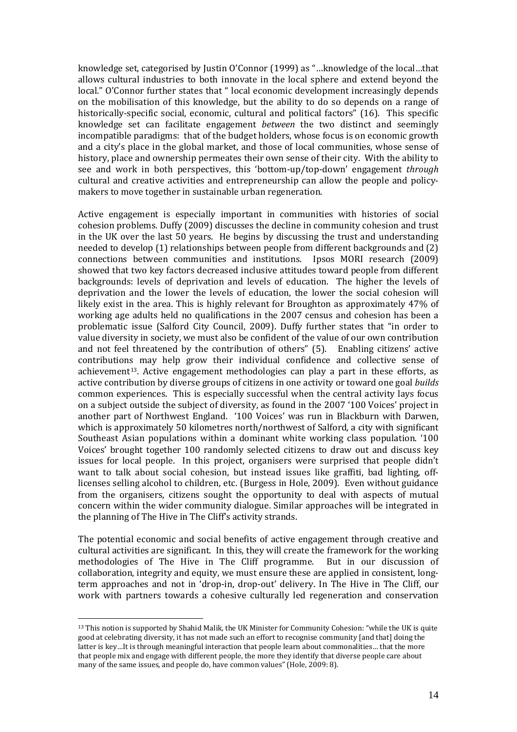knowledge set, categorised by Justin O'Connor (1999) as "…knowledge of the local…that allows cultural industries to both innovate in the local sphere and extend beyond the local." O'Connor further states that " local economic development increasingly depends on the mobilisation of this knowledge, but the ability to do so depends on a range of historically-specific social, economic, cultural and political factors" (16). This specific knowledge set can facilitate engagement *between* the two distinct and seemingly incompatible paradigms: that of the budget holders, whose focus is on economic growth and a city's place in the global market, and those of local communities, whose sense of history, place and ownership permeates their own sense of their city. With the ability to see and work in both perspectives, this 'bottom-up/top-down' engagement *through* cultural and creative activities and entrepreneurship can allow the people and policymakers to move together in sustainable urban regeneration.

Active engagement is especially important in communities with histories of social cohesion problems. Duffy (2009) discusses the decline in community cohesion and trust in the UK over the last 50 years. He begins by discussing the trust and understanding needed to develop (1) relationships between people from different backgrounds and (2) connections between communities and institutions. Ipsos MORI research (2009) showed that two key factors decreased inclusive attitudes toward people from different backgrounds: levels of deprivation and levels of education. The higher the levels of deprivation and the lower the levels of education, the lower the social cohesion will likely exist in the area. This is highly relevant for Broughton as approximately 47% of working age adults held no qualifications in the 2007 census and cohesion has been a problematic issue (Salford City Council, 2009). Duffy further states that "in order to value diversity in society, we must also be confident of the value of our own contribution and not feel threatened by the contribution of others" (5). Enabling citizens' active contributions may help grow their individual confidence and collective sense of achievement<sup>13</sup>. Active engagement methodologies can play a part in these efforts, as active contribution by diverse groups of citizens in one activity or toward one goal *builds*  common experiences. This is especially successful when the central activity lays focus on a subject outside the subject of diversity, as found in the 2007 '100 Voices' project in another part of Northwest England. '100 Voices' was run in Blackburn with Darwen, which is approximately 50 kilometres north/northwest of Salford, a city with significant Southeast Asian populations within a dominant white working class population. '100 Voices' brought together 100 randomly selected citizens to draw out and discuss key issues for local people. In this project, organisers were surprised that people didn't want to talk about social cohesion, but instead issues like graffiti, bad lighting, offlicenses selling alcohol to children, etc. (Burgess in Hole, 2009). Even without guidance from the organisers, citizens sought the opportunity to deal with aspects of mutual concern within the wider community dialogue. Similar approaches will be integrated in the planning of The Hive in The Cliff's activity strands.

The potential economic and social benefits of active engagement through creative and cultural activities are significant. In this, they will create the framework for the working methodologies of The Hive in The Cliff programme. collaboration, integrity and equity, we must ensure these are applied in consistent, longterm approaches and not in 'drop-in, drop-out' delivery. In The Hive in The Cliff, our work with partners towards a cohesive culturally led regeneration and conservation

<u>.</u>

<span id="page-14-0"></span><sup>13</sup> This notion is supported by Shahid Malik, the UK Minister for Community Cohesion: "while the UK is quite good at celebrating diversity, it has not made such an effort to recognise community [and that] doing the latter is key…It is through meaningful interaction that people learn about commonalities… that the more that people mix and engage with different people, the more they identify that diverse people care about many of the same issues, and people do, have common values" (Hole, 2009: 8).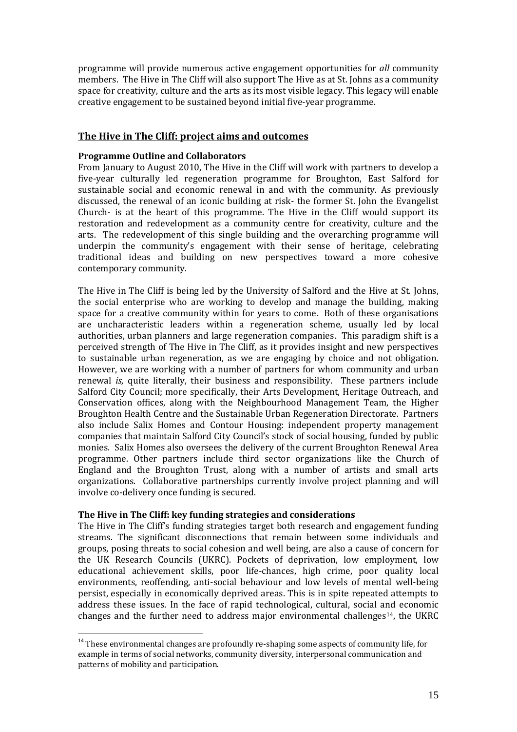programme will provide numerous active engagement opportunities for *all* community members. The Hive in The Cliff will also support The Hive as at St. Johns as a community space for creativity, culture and the arts as its most visible legacy. This legacy will enable creative engagement to be sustained beyond initial five-year programme.

## **The Hive in The Cliff: project aims and outcomes**

## **Programme Outline and Collaborators**

From January to August 2010, The Hive in the Cliff will work with partners to develop a five-year culturally led regeneration programme for Broughton, East Salford for sustainable social and economic renewal in and with the community. As previously discussed, the renewal of an iconic building at risk- the former St. John the Evangelist Church- is at the heart of this programme. The Hive in the Cliff would support its restoration and redevelopment as a community centre for creativity, culture and the arts. The redevelopment of this single building and the overarching programme will underpin the community's engagement with their sense of heritage, celebrating traditional ideas and building on new perspectives toward a more cohesive contemporary community.

The Hive in The Cliff is being led by the University of Salford and the Hive at St. Johns, the social enterprise who are working to develop and manage the building, making space for a creative community within for years to come. Both of these organisations are uncharacteristic leaders within a regeneration scheme, usually led by local authorities, urban planners and large regeneration companies. This paradigm shift is a perceived strength of The Hive in The Cliff, as it provides insight and new perspectives to sustainable urban regeneration, as we are engaging by choice and not obligation. However, we are working with a number of partners for whom community and urban renewal *is,* quite literally, their business and responsibility. These partners include Salford City Council; more specifically, their Arts Development, Heritage Outreach, and Conservation offices, along with the Neighbourhood Management Team, the Higher Broughton Health Centre and the Sustainable Urban Regeneration Directorate. Partners also include Salix Homes and Contour Housing: independent property management companies that maintain Salford City Council's stock of social housing, funded by public monies. Salix Homes also oversees the delivery of the current Broughton Renewal Area programme. Other partners include third sector organizations like the Church of England and the Broughton Trust, along with a number of artists and small arts organizations. Collaborative partnerships currently involve project planning and will involve co-delivery once funding is secured.

## **The Hive in The Cliff: key funding strategies and considerations**

The Hive in The Cliff's funding strategies target both research and engagement funding streams. The significant disconnections that remain between some individuals and groups, posing threats to social cohesion and well being, are also a cause of concern for the UK Research Councils (UKRC). Pockets of deprivation, low employment, low educational achievement skills, poor life-chances, high crime, poor quality local environments, reoffending, anti-social behaviour and low levels of mental well-being persist, especially in economically deprived areas. This is in spite repeated attempts to address these issues. In the face of rapid technological, cultural, social and economic changes and the further need to address major environmental challenges[14](#page-15-0) , the UKRC

<span id="page-15-0"></span> $14$  These environmental changes are profoundly re-shaping some aspects of community life, for example in terms of social networks, community diversity, interpersonal communication and patterns of mobility and participation.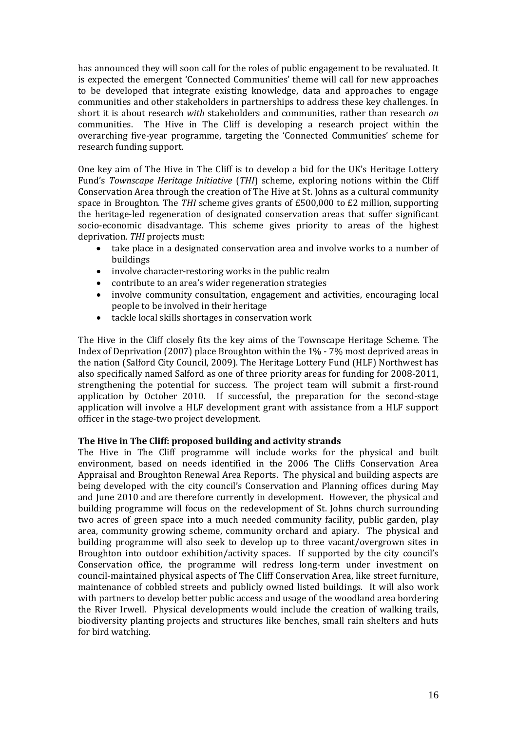has announced they will soon call for the roles of public engagement to be revaluated. It is expected the emergent 'Connected Communities' theme will call for new approaches to be developed that integrate existing knowledge, data and approaches to engage communities and other stakeholders in partnerships to address these key challenges. In short it is about research *with* stakeholders and communities, rather than research *on* communities. The Hive in The Cliff is developing a research project within the overarching five-year programme, targeting the 'Connected Communities' scheme for research funding support.

One key aim of The Hive in The Cliff is to develop a bid for the UK's Heritage Lottery Fund's *Townscape Heritage Initiative* (*THI*) scheme, exploring notions within the Cliff Conservation Area through the creation of The Hive at St. Johns as a cultural community space in Broughton. The *THI* scheme gives grants of £500,000 to £2 million, supporting the heritage-led regeneration of designated conservation areas that suffer significant socio-economic disadvantage. This scheme gives priority to areas of the highest deprivation. *THI* projects must:

- take place in a designated conservation area and involve works to a number of buildings
- involve character-restoring works in the public realm
- contribute to an area's wider regeneration strategies
- involve community consultation, engagement and activities, encouraging local people to be involved in their heritage
- tackle local skills shortages in conservation work

The Hive in the Cliff closely fits the key aims of the Townscape Heritage Scheme. The Index of Deprivation (2007) place Broughton within the 1% - 7% most deprived areas in the nation (Salford City Council, 2009). The Heritage Lottery Fund (HLF) Northwest has also specifically named Salford as one of three priority areas for funding for 2008-2011, strengthening the potential for success. The project team will submit a first-round application by October 2010. If successful, the preparation for the second-stage application will involve a HLF development grant with assistance from a HLF support officer in the stage-two project development.

## **The Hive in The Cliff: proposed building and activity strands**

The Hive in The Cliff programme will include works for the physical and built environment, based on needs identified in the 2006 The Cliffs Conservation Area Appraisal and Broughton Renewal Area Reports. The physical and building aspects are being developed with the city council's Conservation and Planning offices during May and June 2010 and are therefore currently in development. However, the physical and building programme will focus on the redevelopment of St. Johns church surrounding two acres of green space into a much needed community facility, public garden, play area, community growing scheme, community orchard and apiary. The physical and building programme will also seek to develop up to three vacant/overgrown sites in Broughton into outdoor exhibition/activity spaces. If supported by the city council's Conservation office, the programme will redress long-term under investment on council-maintained physical aspects of The Cliff Conservation Area, like street furniture, maintenance of cobbled streets and publicly owned listed buildings. It will also work with partners to develop better public access and usage of the woodland area bordering the River Irwell. Physical developments would include the creation of walking trails, biodiversity planting projects and structures like benches, small rain shelters and huts for bird watching.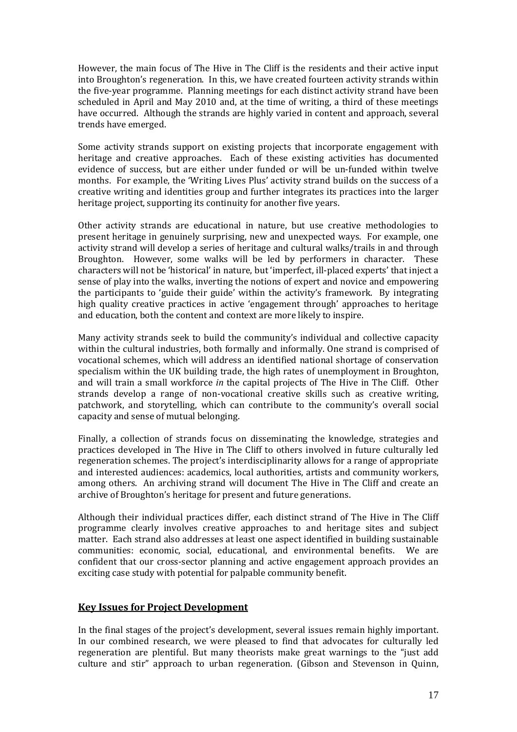However, the main focus of The Hive in The Cliff is the residents and their active input into Broughton's regeneration. In this, we have created fourteen activity strands within the five-year programme. Planning meetings for each distinct activity strand have been scheduled in April and May 2010 and, at the time of writing, a third of these meetings have occurred. Although the strands are highly varied in content and approach, several trends have emerged.

Some activity strands support on existing projects that incorporate engagement with heritage and creative approaches. Each of these existing activities has documented evidence of success, but are either under funded or will be un-funded within twelve months. For example, the 'Writing Lives Plus' activity strand builds on the success of a creative writing and identities group and further integrates its practices into the larger heritage project, supporting its continuity for another five years.

Other activity strands are educational in nature, but use creative methodologies to present heritage in genuinely surprising, new and unexpected ways. For example, one activity strand will develop a series of heritage and cultural walks/trails in and through Broughton. However, some walks will be led by performers in character. These characters will not be 'historical' in nature, but 'imperfect, ill-placed experts' that inject a sense of play into the walks, inverting the notions of expert and novice and empowering the participants to 'guide their guide' within the activity's framework. By integrating high quality creative practices in active 'engagement through' approaches to heritage and education, both the content and context are more likely to inspire.

Many activity strands seek to build the community's individual and collective capacity within the cultural industries, both formally and informally. One strand is comprised of vocational schemes, which will address an identified national shortage of conservation specialism within the UK building trade, the high rates of unemployment in Broughton, and will train a small workforce *in* the capital projects of The Hive in The Cliff. Other strands develop a range of non-vocational creative skills such as creative writing, patchwork, and storytelling, which can contribute to the community's overall social capacity and sense of mutual belonging.

Finally, a collection of strands focus on disseminating the knowledge, strategies and practices developed in The Hive in The Cliff to others involved in future culturally led regeneration schemes. The project's interdisciplinarity allows for a range of appropriate and interested audiences: academics, local authorities, artists and community workers, among others. An archiving strand will document The Hive in The Cliff and create an archive of Broughton's heritage for present and future generations.

Although their individual practices differ, each distinct strand of The Hive in The Cliff programme clearly involves creative approaches to and heritage sites and subject matter. Each strand also addresses at least one aspect identified in building sustainable communities: economic. social. educational. and environmental benefits. We are communities: economic, social, educational, and environmental benefits. confident that our cross-sector planning and active engagement approach provides an exciting case study with potential for palpable community benefit.

# **Key Issues for Project Development**

In the final stages of the project's development, several issues remain highly important. In our combined research, we were pleased to find that advocates for culturally led regeneration are plentiful. But many theorists make great warnings to the "just add culture and stir" approach to urban regeneration. (Gibson and Stevenson in Quinn,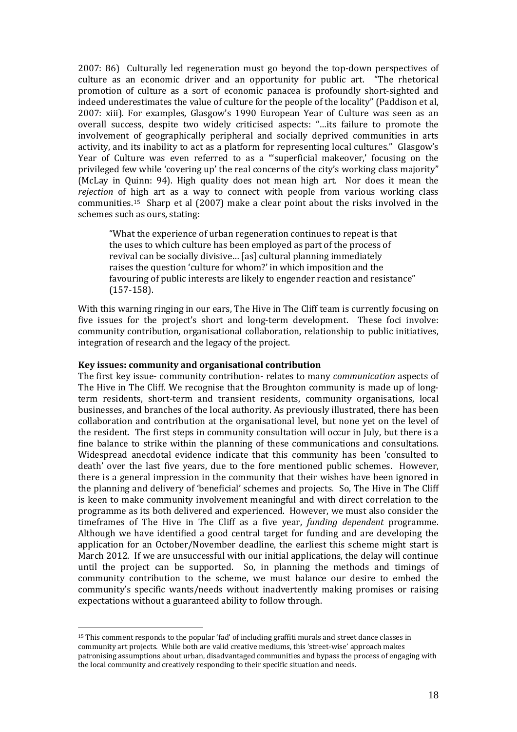2007: 86) Culturally led regeneration must go beyond the top-down perspectives of culture as an economic driver and an opportunity for public art. "The rhetorical promotion of culture as a sort of economic panacea is profoundly short-sighted and indeed underestimates the value of culture for the people of the locality" (Paddison et al, 2007: xiii). For examples, Glasgow's 1990 European Year of Culture was seen as an overall success, despite two widely criticised aspects: "…its failure to promote the involvement of geographically peripheral and socially deprived communities in arts activity, and its inability to act as a platform for representing local cultures." Glasgow's Year of Culture was even referred to as a "'superficial makeover,' focusing on the privileged few while 'covering up' the real concerns of the city's working class majority" (McLay in Quinn: 94). High quality does not mean high art. Nor does it mean the *rejection* of high art as a way to connect with people from various working class communities.[15](#page-18-0) Sharp et al (2007) make a clear point about the risks involved in the schemes such as ours, stating:

"What the experience of urban regeneration continues to repeat is that the uses to which culture has been employed as part of the process of revival can be socially divisive… [as] cultural planning immediately raises the question 'culture for whom?' in which imposition and the favouring of public interests are likely to engender reaction and resistance" (157-158).

With this warning ringing in our ears, The Hive in The Cliff team is currently focusing on five issues for the project's short and long-term development. These foci involve: community contribution, organisational collaboration, relationship to public initiatives, integration of research and the legacy of the project.

#### **Key issues: community and organisational contribution**

<u>.</u>

The first key issue- community contribution- relates to many *communication* aspects of The Hive in The Cliff. We recognise that the Broughton community is made up of longterm residents, short-term and transient residents, community organisations, local businesses, and branches of the local authority. As previously illustrated, there has been collaboration and contribution at the organisational level, but none yet on the level of the resident. The first steps in community consultation will occur in July, but there is a fine balance to strike within the planning of these communications and consultations. Widespread anecdotal evidence indicate that this community has been 'consulted to death' over the last five years, due to the fore mentioned public schemes. However, there is a general impression in the community that their wishes have been ignored in the planning and delivery of 'beneficial' schemes and projects. So, The Hive in The Cliff is keen to make community involvement meaningful and with direct correlation to the programme as its both delivered and experienced. However, we must also consider the timeframes of The Hive in The Cliff as a five year, *funding dependent* programme. Although we have identified a good central target for funding and are developing the application for an October/November deadline, the earliest this scheme might start is March 2012. If we are unsuccessful with our initial applications, the delay will continue until the project can be supported. So, in planning the methods and timings of community contribution to the scheme, we must balance our desire to embed the community's specific wants/needs without inadvertently making promises or raising expectations without a guaranteed ability to follow through.

<span id="page-18-0"></span><sup>&</sup>lt;sup>15</sup> This comment responds to the popular 'fad' of including graffiti murals and street dance classes in community art projects. While both are valid creative mediums, this 'street-wise' approach makes patronising assumptions about urban, disadvantaged communities and bypass the process of engaging with the local community and creatively responding to their specific situation and needs.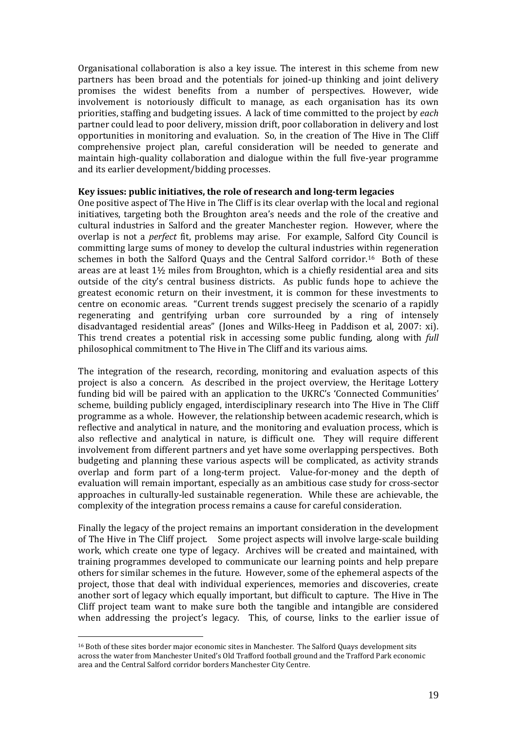Organisational collaboration is also a key issue. The interest in this scheme from new partners has been broad and the potentials for joined-up thinking and joint delivery promises the widest benefits from a number of perspectives. However, wide involvement is notoriously difficult to manage, as each organisation has its own priorities, staffing and budgeting issues. A lack of time committed to the project by *each*  partner could lead to poor delivery, mission drift, poor collaboration in delivery and lost opportunities in monitoring and evaluation. So, in the creation of The Hive in The Cliff comprehensive project plan, careful consideration will be needed to generate and maintain high-quality collaboration and dialogue within the full five-year programme and its earlier development/bidding processes.

#### **Key issues: public initiatives, the role of research and long-term legacies**

One positive aspect of The Hive in The Cliff is its clear overlap with the local and regional initiatives, targeting both the Broughton area's needs and the role of the creative and cultural industries in Salford and the greater Manchester region. However, where the overlap is not a *perfect* fit, problems may arise. For example, Salford City Council is committing large sums of money to develop the cultural industries within regeneration schemes in both the Salford Quays and the Central Salford corridor.<sup>16</sup> Both of these areas are at least 1½ miles from Broughton, which is a chiefly residential area and sits outside of the city's central business districts. As public funds hope to achieve the greatest economic return on their investment, it is common for these investments to centre on economic areas. "Current trends suggest precisely the scenario of a rapidly regenerating and gentrifying urban core surrounded by a ring of intensely disadvantaged residential areas" (Jones and Wilks-Heeg in Paddison et al, 2007: xi). This trend creates a potential risk in accessing some public funding, along with *full* philosophical commitment to The Hive in The Cliff and its various aims.

The integration of the research, recording, monitoring and evaluation aspects of this project is also a concern. As described in the project overview, the Heritage Lottery funding bid will be paired with an application to the UKRC's 'Connected Communities' scheme, building publicly engaged, interdisciplinary research into The Hive in The Cliff programme as a whole. However, the relationship between academic research, which is reflective and analytical in nature, and the monitoring and evaluation process, which is also reflective and analytical in nature, is difficult one. They will require different involvement from different partners and yet have some overlapping perspectives. Both budgeting and planning these various aspects will be complicated, as activity strands overlap and form part of a long-term project. Value-for-money and the depth of evaluation will remain important, especially as an ambitious case study for cross-sector approaches in culturally-led sustainable regeneration. While these are achievable, the complexity of the integration process remains a cause for careful consideration.

Finally the legacy of the project remains an important consideration in the development of The Hive in The Cliff project. Some project aspects will involve large-scale building work, which create one type of legacy. Archives will be created and maintained, with training programmes developed to communicate our learning points and help prepare others for similar schemes in the future. However, some of the ephemeral aspects of the project, those that deal with individual experiences, memories and discoveries, create another sort of legacy which equally important, but difficult to capture. The Hive in The Cliff project team want to make sure both the tangible and intangible are considered when addressing the project's legacy. This, of course, links to the earlier issue of

<span id="page-19-0"></span><sup>&</sup>lt;u>.</u> <sup>16</sup> Both of these sites border major economic sites in Manchester. The Salford Quays development sits across the water from Manchester United's Old Trafford football ground and the Trafford Park economic area and the Central Salford corridor borders Manchester City Centre.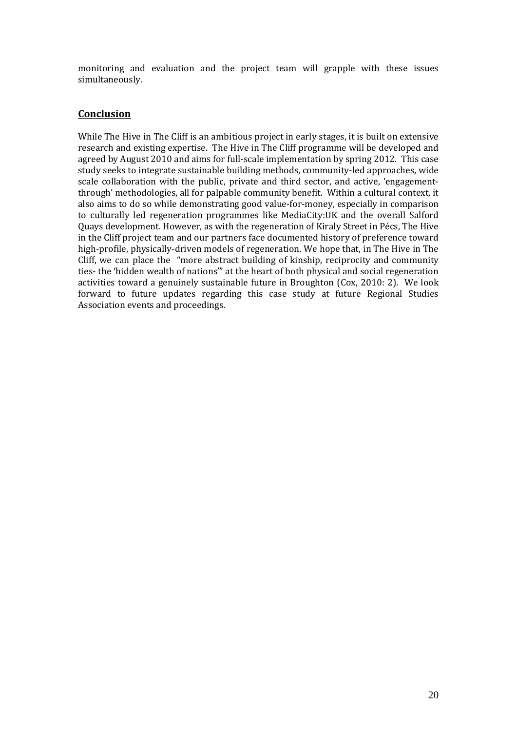monitoring and evaluation and the project team will grapple with these issues simultaneously.

# **Conclusion**

While The Hive in The Cliff is an ambitious project in early stages, it is built on extensive research and existing expertise. The Hive in The Cliff programme will be developed and agreed by August 2010 and aims for full-scale implementation by spring 2012. This case study seeks to integrate sustainable building methods, community-led approaches, wide scale collaboration with the public, private and third sector, and active, 'engagementthrough' methodologies, all for palpable community benefit. Within a cultural context, it also aims to do so while demonstrating good value-for-money, especially in comparison to culturally led regeneration programmes like MediaCity:UK and the overall Salford Quays development. However, as with the regeneration of Kiraly Street in Pécs, The Hive in the Cliff project team and our partners face documented history of preference toward high-profile, physically-driven models of regeneration. We hope that, in The Hive in The Cliff, we can place the "more abstract building of kinship, reciprocity and community ties- the 'hidden wealth of nations'" at the heart of both physical and social regeneration activities toward a genuinely sustainable future in Broughton (Cox, 2010: 2). We look forward to future updates regarding this case study at future Regional Studies Association events and proceedings.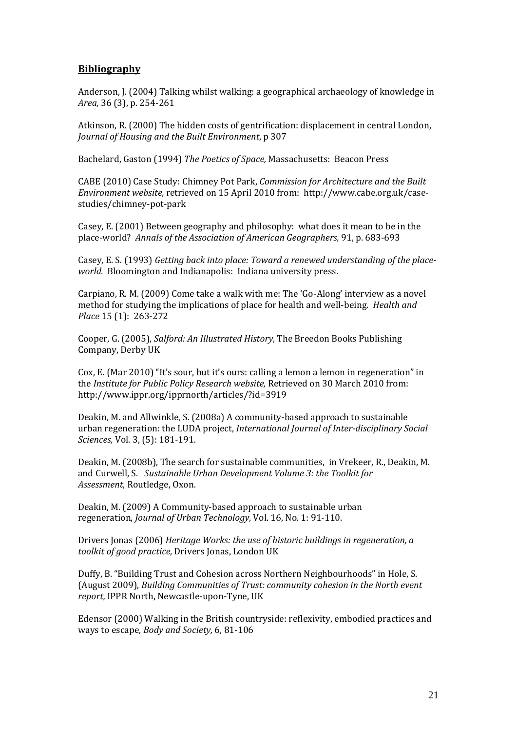# **Bibliography**

Anderson, J. (2004) Talking whilst walking: a geographical archaeology of knowledge in *Area,* 36 (3), p. 254-261

Atkinson, R. (2000) The hidden costs of gentrification: displacement in central London, *Journal of Housing and the Built Environment*, p 307

Bachelard, Gaston (1994) *The Poetics of Space,* Massachusetts: Beacon Press

CABE (2010) Case Study: Chimney Pot Park, *Commission for Architecture and the Built Environment website,* retrieved on 15 April 2010 from: http://www.cabe.org.uk/casestudies/chimney-pot-park

Casey, E. (2001) Between geography and philosophy: what does it mean to be in the place-world? *Annals of the Association of American Geographers,* 91, p. 683-693

Casey, E. S. (1993) *Getting back into place: Toward a renewed understanding of the placeworld.* Bloomington and Indianapolis: Indiana university press.

Carpiano, R. M. (2009) Come take a walk with me: The 'Go-Along' interview as a novel method for studying the implications of place for health and well-being. *Health and Place* 15 (1): 263-272

Cooper, G. (2005), *Salford: An Illustrated History*, The Breedon Books Publishing Company, Derby UK

Cox, E. (Mar 2010) "It's sour, but it's ours: calling a lemon a lemon in regeneration" in the *Institute for Public Policy Research website,* Retrieved on 30 March 2010 from: http://www.ippr.org/ipprnorth/articles/?id=3919

Deakin, M. and Allwinkle, S. (2008a) A community-based approach to sustainable urban regeneration: the LUDA project, *International Journal of Inter-disciplinary Social Sciences,* Vol. 3, (5): 181-191.

Deakin, M. (2008b), The search for sustainable communities, in Vrekeer, R., Deakin, M. and Curwell, S. *Sustainable Urban Development Volume 3: the Toolkit for Assessment*, Routledge, Oxon.

Deakin, M. (2009) A Community-based approach to sustainable urban regeneration, *Journal of Urban Technology*, Vol. 16, No. 1: 91-110.

Drivers Jonas (2006) *Heritage Works: the use of historic buildings in regeneration, a toolkit of good practice,* Drivers Jonas, London UK

Duffy, B. "Building Trust and Cohesion across Northern Neighbourhoods" in Hole, S. (August 2009), *Building Communities of Trust: community cohesion in the North event report,* IPPR North, Newcastle-upon-Tyne, UK

Edensor (2000) Walking in the British countryside: reflexivity, embodied practices and ways to escape, *Body and Society,* 6, 81-106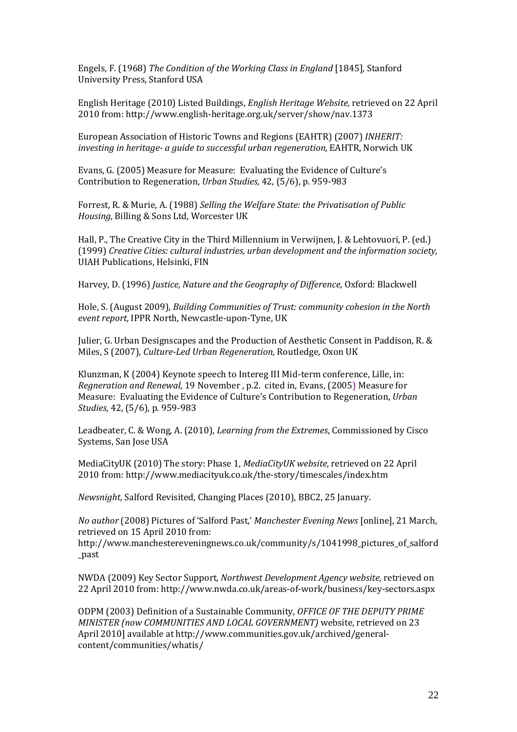Engels, F. (1968) *The Condition of the Working Class in England* [1845], Stanford University Press, Stanford USA

English Heritage (2010) Listed Buildings, *English Heritage Website,* retrieved on 22 April 2010 from: http://www.english-heritage.org.uk/server/show/nav.1373

European Association of Historic Towns and Regions (EAHTR) (2007) *INHERIT: investing in heritage- a guide to successful urban regeneration,* EAHTR, Norwich UK

Evans, G. (2005) Measure for Measure: Evaluating the Evidence of Culture's Contribution to Regeneration, *Urban Studies,* 42, (5/6), p. 959-983

Forrest, R. & Murie, A. (1988) *Selling the Welfare State: the Privatisation of Public Housing*, Billing & Sons Ltd, Worcester UK

Hall, P., The Creative City in the Third Millennium in Verwijnen, J. & Lehtovuori, P. (ed.) (1999) *Creative Cities: cultural industries, urban development and the information society,* UIAH Publications, Helsinki, FIN

Harvey, D. (1996) *Justice, Nature and the Geography of Difference*, Oxford: Blackwell

Hole, S. (August 2009), *Building Communities of Trust: community cohesion in the North event report,* IPPR North, Newcastle-upon-Tyne, UK

Julier, G. Urban Designscapes and the Production of Aesthetic Consent in Paddison, R. & Miles, S (2007), *Culture-Led Urban Regeneration,* Routledge, Oxon UK

Klunzman, K (2004) Keynote speech to Intereg III Mid-term conference, Lille, in: *Regneration and Renewal*, 19 November , p.2. cited in, Evans, (2005) Measure for Measure: Evaluating the Evidence of Culture's Contribution to Regeneration, *Urban Studies,* 42, (5/6), p. 959-983

Leadbeater, C. & Wong, A. (2010), *Learning from the Extremes*, Commissioned by Cisco Systems, San Jose USA

MediaCityUK (2010) The story: Phase 1, *MediaCityUK website,* retrieved on 22 April 2010 from: http://www.mediacityuk.co.uk/the-story/timescales/index.htm

*Newsnight,* Salford Revisited, Changing Places (2010), BBC2, 25 January.

*No author* (2008) Pictures of 'Salford Past,' *Manchester Evening News* [online], 21 March, retrieved on 15 April 2010 from:

http://www.manchestereveningnews.co.uk/community/s/1041998\_pictures\_of\_salford \_past

NWDA (2009) Key Sector Support, *Northwest Development Agency website,* retrieved on 22 April 2010 from: http://www.nwda.co.uk/areas-of-work/business/key-sectors.aspx

ODPM (2003) Definition of a Sustainable Community, *OFFICE OF THE DEPUTY PRIME MINISTER (now COMMUNITIES AND LOCAL GOVERNMENT)* website, retrieved on 23 April 2010] available a[t http://www.communities.gov.uk/archived/general](http://www.communities.gov.uk/archived/general-content/communities/whatis/)[content/communities/whatis/](http://www.communities.gov.uk/archived/general-content/communities/whatis/)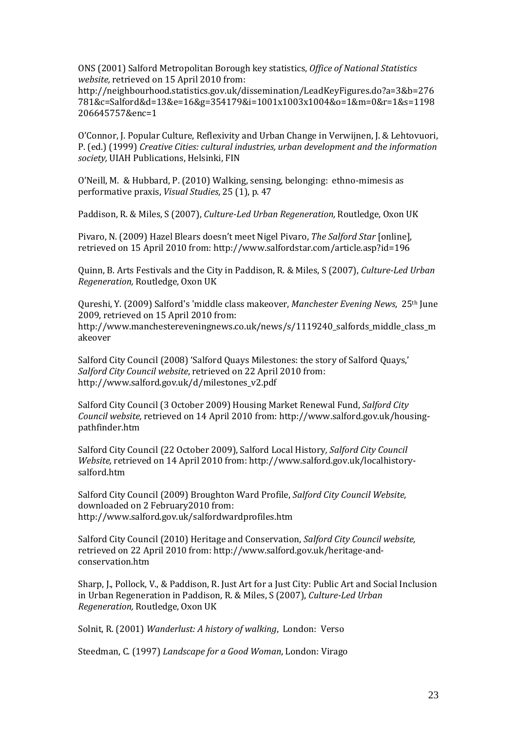ONS (2001) Salford Metropolitan Borough key statistics, *Office of National Statistics website,* retrieved on 15 April 2010 from:

http://neighbourhood.statistics.gov.uk/dissemination/LeadKeyFigures.do?a=3&b=276 781&c=Salford&d=13&e=16&g=354179&i=1001x1003x1004&o=1&m=0&r=1&s=1198 206645757&enc=1

O'Connor, J. Popular Culture, Reflexivity and Urban Change in Verwijnen, J. & Lehtovuori, P. (ed.) (1999) *Creative Cities: cultural industries, urban development and the information society,* UIAH Publications, Helsinki, FIN

O'Neill, M. & Hubbard, P. (2010) Walking, sensing, belonging: ethno-mimesis as performative praxis, *Visual Studies*, 25 (1), p. 47

Paddison, R. & Miles, S (2007), *Culture-Led Urban Regeneration,* Routledge, Oxon UK

Pivaro, N. (2009) Hazel Blears doesn't meet Nigel Pivaro, *The Salford Star* [online], retrieved on 15 April 2010 from: http://www.salfordstar.com/article.asp?id=196

Quinn, B. Arts Festivals and the City in Paddison, R. & Miles, S (2007), *Culture-Led Urban Regeneration,* Routledge, Oxon UK

Qureshi, Y. (2009) Salford's 'middle class makeover, *Manchester Evening News*, 25th June 2009, retrieved on 15 April 2010 from: http://www.manchestereveningnews.co.uk/news/s/1119240\_salfords\_middle\_class\_m akeover

Salford City Council (2008) 'Salford Quays Milestones: the story of Salford Quays,' *Salford City Council website*, retrieved on 22 April 2010 from: http://www.salford.gov.uk/d/milestones\_v2.pdf

Salford City Council (3 October 2009) Housing Market Renewal Fund, *Salford City Council website,* retrieved on 14 April 2010 from: http://www.salford.gov.uk/housingpathfinder.htm

Salford City Council (22 October 2009), Salford Local History*, Salford City Council Website,* retrieved on 14 April 2010 from: http://www.salford.gov.uk/localhistorysalford.htm

Salford City Council (2009) Broughton Ward Profile, *Salford City Council Website,* downloaded on 2 February2010 from: http://www.salford.gov.uk/salfordwardprofiles.htm

Salford City Council (2010) Heritage and Conservation, *Salford City Council website,* retrieved on 22 April 2010 from: http://www.salford.gov.uk/heritage-andconservation.htm

Sharp, J., Pollock, V., & Paddison, R. Just Art for a Just City: Public Art and Social Inclusion in Urban Regeneration in Paddison, R. & Miles, S (2007), *Culture-Led Urban Regeneration,* Routledge, Oxon UK

Solnit, R. (2001) *Wanderlust: A history of walking*, London: Verso

Steedman, C. (1997) *Landscape for a Good Woman*, London: Virago